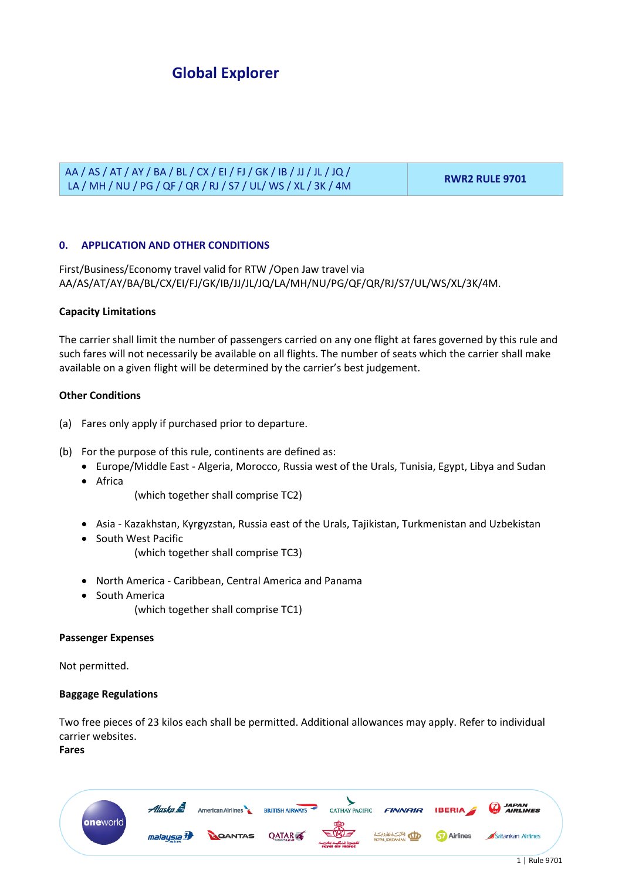### AA / AS / AT / AY / BA / BL / CX / EI / FJ / GK / IB / JJ / JL / JQ / LA / MH / NU / PG / QF / QR / RJ / S7 / UL/ WS / XL / 3K / 4M **RWR2 RULE 9701**

## **0. APPLICATION AND OTHER CONDITIONS**

First/Business/Economy travel valid for RTW /Open Jaw travel via AA/AS/AT/AY/BA/BL/CX/EI/FJ/GK/IB/JJ/JL/JQ/LA/MH/NU/PG/QF/QR/RJ/S7/UL/WS/XL/3K/4M.

#### **Capacity Limitations**

The carrier shall limit the number of passengers carried on any one flight at fares governed by this rule and such fares will not necessarily be available on all flights. The number of seats which the carrier shall make available on a given flight will be determined by the carrier's best judgement.

### **Other Conditions**

- (a) Fares only apply if purchased prior to departure.
- (b) For the purpose of this rule, continents are defined as:
	- Europe/Middle East Algeria, Morocco, Russia west of the Urals, Tunisia, Egypt, Libya and Sudan
	- Africa

(which together shall comprise TC2)

- Asia Kazakhstan, Kyrgyzstan, Russia east of the Urals, Tajikistan, Turkmenistan and Uzbekistan
- South West Pacific (which together shall comprise TC3)
- North America Caribbean, Central America and Panama
- South America
	- (which together shall comprise TC1)

#### **Passenger Expenses**

Not permitted.

### **Baggage Regulations**

Two free pieces of 23 kilos each shall be permitted. Additional allowances may apply. Refer to individual carrier websites.

### **Fares**

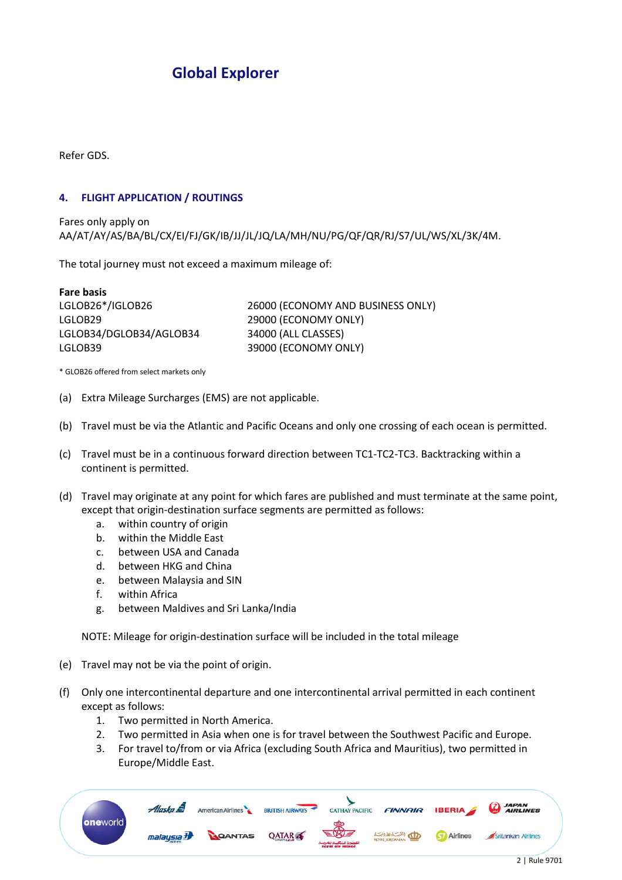Refer GDS.

### **4. FLIGHT APPLICATION / ROUTINGS**

Fares only apply on AA/AT/AY/AS/BA/BL/CX/EI/FJ/GK/IB/JJ/JL/JQ/LA/MH/NU/PG/QF/QR/RJ/S7/UL/WS/XL/3K/4M.

The total journey must not exceed a maximum mileage of:

| <b>Fare basis</b>       |                                   |
|-------------------------|-----------------------------------|
| LGLOB26*/IGLOB26        | 26000 (ECONOMY AND BUSINESS ONLY) |
| LGLOB29                 | 29000 (ECONOMY ONLY)              |
| LGLOB34/DGLOB34/AGLOB34 | 34000 (ALL CLASSES)               |
| LGLOB39                 | 39000 (ECONOMY ONLY)              |

\* GLOB26 offered from select markets only

- (a) Extra Mileage Surcharges (EMS) are not applicable.
- (b) Travel must be via the Atlantic and Pacific Oceans and only one crossing of each ocean is permitted.
- (c) Travel must be in a continuous forward direction between TC1-TC2-TC3. Backtracking within a continent is permitted.
- (d) Travel may originate at any point for which fares are published and must terminate at the same point, except that origin-destination surface segments are permitted as follows:
	- a. within country of origin
	- b. within the Middle East
	- c. between USA and Canada
	- d. between HKG and China
	- e. between Malaysia and SIN
	- f. within Africa
	- g. between Maldives and Sri Lanka/India

NOTE: Mileage for origin-destination surface will be included in the total mileage

- (e) Travel may not be via the point of origin.
- (f) Only one intercontinental departure and one intercontinental arrival permitted in each continent except as follows:
	- 1. Two permitted in North America.
	- 2. Two permitted in Asia when one is for travel between the Southwest Pacific and Europe.
	- 3. For travel to/from or via Africa (excluding South Africa and Mauritius), two permitted in Europe/Middle East.

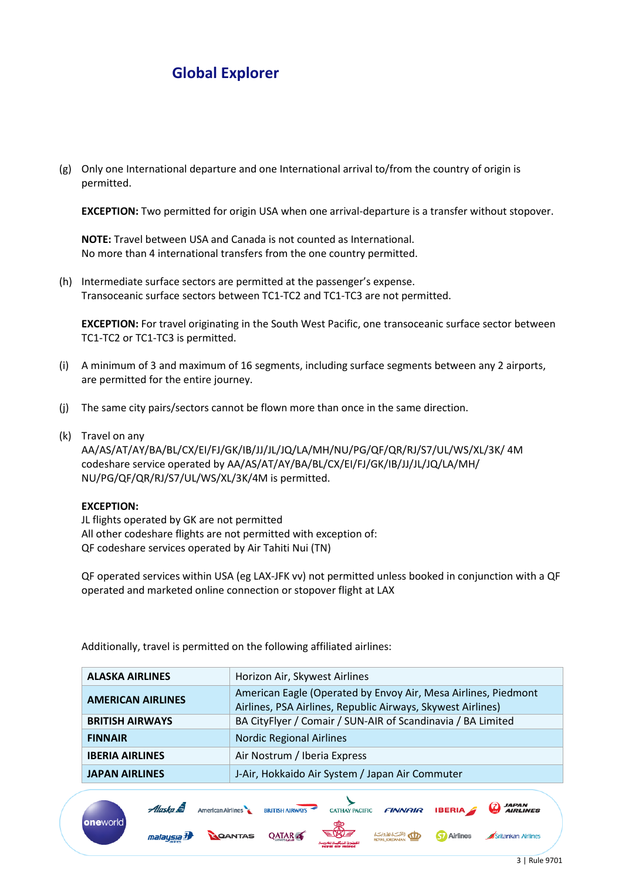(g) Only one International departure and one International arrival to/from the country of origin is permitted.

**EXCEPTION:** Two permitted for origin USA when one arrival-departure is a transfer without stopover.

**NOTE:** Travel between USA and Canada is not counted as International. No more than 4 international transfers from the one country permitted.

(h) Intermediate surface sectors are permitted at the passenger's expense. Transoceanic surface sectors between TC1-TC2 and TC1-TC3 are not permitted.

**EXCEPTION:** For travel originating in the South West Pacific, one transoceanic surface sector between TC1-TC2 or TC1-TC3 is permitted.

- (i) A minimum of 3 and maximum of 16 segments, including surface segments between any 2 airports, are permitted for the entire journey.
- (j) The same city pairs/sectors cannot be flown more than once in the same direction.
- (k) Travel on any

AA/AS/AT/AY/BA/BL/CX/EI/FJ/GK/IB/JJ/JL/JQ/LA/MH/NU/PG/QF/QR/RJ/S7/UL/WS/XL/3K/ 4M codeshare service operated by AA/AS/AT/AY/BA/BL/CX/EI/FJ/GK/IB/JJ/JL/JQ/LA/MH/ NU/PG/QF/QR/RJ/S7/UL/WS/XL/3K/4M is permitted.

#### **EXCEPTION:**

JL flights operated by GK are not permitted All other codeshare flights are not permitted with exception of: QF codeshare services operated by Air Tahiti Nui (TN)

QF operated services within USA (eg LAX-JFK vv) not permitted unless booked in conjunction with a QF operated and marketed online connection or stopover flight at LAX

Additionally, travel is permitted on the following affiliated airlines:

American Airlines

**QANTAS** 

Alaska **S** 

malaysia b

oneworld

| <b>ALASKA AIRLINES</b>   | Horizon Air, Skywest Airlines                                                                                                 |
|--------------------------|-------------------------------------------------------------------------------------------------------------------------------|
| <b>AMERICAN AIRLINES</b> | American Eagle (Operated by Envoy Air, Mesa Airlines, Piedmont<br>Airlines, PSA Airlines, Republic Airways, Skywest Airlines) |
| <b>BRITISH AIRWAYS</b>   | BA CityFlyer / Comair / SUN-AIR of Scandinavia / BA Limited                                                                   |
| <b>FINNAIR</b>           | <b>Nordic Regional Airlines</b>                                                                                               |
| <b>IBERIA AIRLINES</b>   | Air Nostrum / Iberia Express                                                                                                  |
| <b>JAPAN AIRLINES</b>    | J-Air, Hokkaido Air System / Japan Air Commuter                                                                               |

CATHAY PACIFIC

**FINNAIR** 

الله بالشبكة للأونيكية

**IBERIA** 

**Ky** Airlines

**BRITISH AIRWAYS** 

**QATAR** 

*JAPAN<br>AIRLINES* 

Srilankan Airlines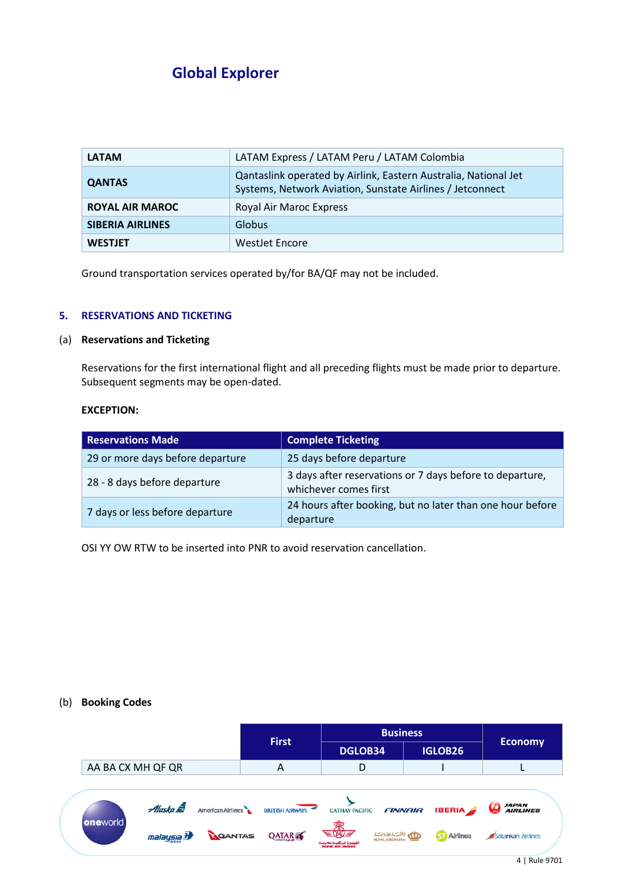| <b>LATAM</b>            | LATAM Express / LATAM Peru / LATAM Colombia                                                                                  |
|-------------------------|------------------------------------------------------------------------------------------------------------------------------|
| <b>QANTAS</b>           | Qantaslink operated by Airlink, Eastern Australia, National Jet<br>Systems, Network Aviation, Sunstate Airlines / Jetconnect |
| <b>ROYAL AIR MAROC</b>  | Royal Air Maroc Express                                                                                                      |
| <b>SIBERIA AIRLINES</b> | Globus                                                                                                                       |
| <b>WESTJET</b>          | WestJet Encore                                                                                                               |

Ground transportation services operated by/for BA/QF may not be included.

## **5. RESERVATIONS AND TICKETING**

## (a) **Reservations and Ticketing**

Reservations for the first international flight and all preceding flights must be made prior to departure. Subsequent segments may be open-dated.

### **EXCEPTION:**

| <b>Reservations Made</b>         | <b>Complete Ticketing</b>                                                         |
|----------------------------------|-----------------------------------------------------------------------------------|
| 29 or more days before departure | 25 days before departure                                                          |
| 28 - 8 days before departure     | 3 days after reservations or 7 days before to departure,<br>whichever comes first |
| 7 days or less before departure  | 24 hours after booking, but no later than one hour before<br>departure            |

OSI YY OW RTW to be inserted into PNR to avoid reservation cancellation.

#### (b) **Booking Codes**

|                   |                    |                   |                        | <b>Business</b>              |                                       |                                  |
|-------------------|--------------------|-------------------|------------------------|------------------------------|---------------------------------------|----------------------------------|
|                   |                    |                   | <b>First</b>           | <b>DGLOB34</b>               | <b>IGLOB26</b>                        | <b>Economy</b>                   |
| AA BA CX MH QF QR |                    |                   | A                      |                              |                                       |                                  |
|                   |                    |                   |                        |                              |                                       |                                  |
|                   | Alaska <b>S</b>    | American Airlines | <b>BRITISH AIRWAYS</b> | <b>CATHAY PACIFIC</b>        | <b>IBERIA</b><br><b>FINNAIR</b>       | <i><b>JAPAN<br/>AIRLINES</b></i> |
| oneworld          | malay <u>sia</u> 7 | CANTAS            | QATAR <b>A</b>         | Ã<br>EW =<br>roval air maroc | الملكيت الأرونيت<br><b>G</b> Airlines | Srilankan Airlines               |
|                   |                    |                   |                        |                              |                                       | 4   Rule 9701                    |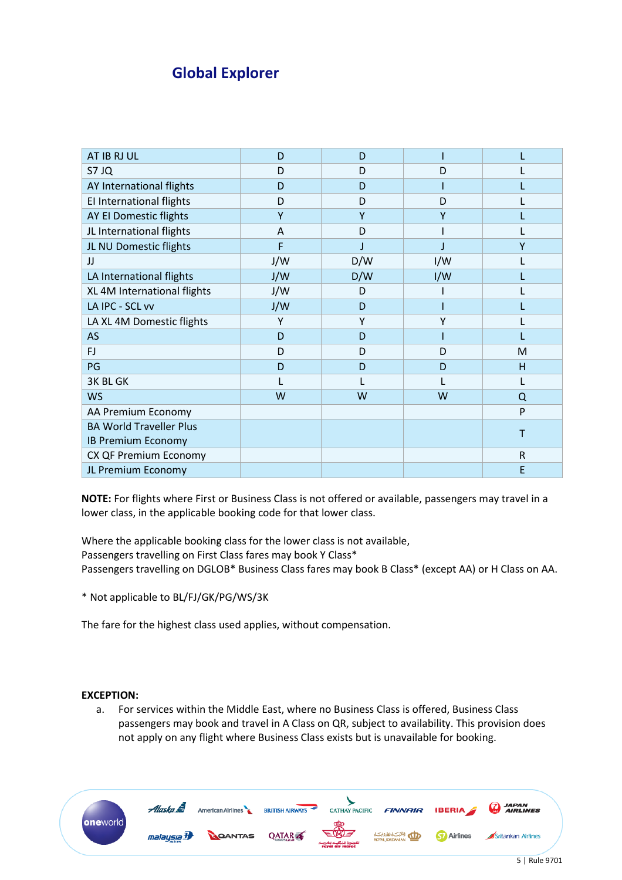| AT IB RJ UL                    | D   | D   |     |              |
|--------------------------------|-----|-----|-----|--------------|
| S7 JQ                          | D   | D   | D   |              |
| AY International flights       | D   | D   |     |              |
| El International flights       | D   | D   | D   |              |
| AY EI Domestic flights         | Υ   | Υ   | ۷   |              |
| JL International flights       | A   | D   |     |              |
| JL NU Domestic flights         | F   |     |     | γ            |
| IJ                             | J/W | D/W | I/W |              |
| LA International flights       | J/W | D/W | I/W |              |
| XL 4M International flights    | J/W | D   |     |              |
| LA IPC - SCL vv                | J/W | D   |     |              |
| LA XL 4M Domestic flights      | Υ   | Υ   |     |              |
| <b>AS</b>                      | D   | D   |     |              |
| FJ                             | D   | D   | D   | M            |
| PG                             | D   | D   | D   | H            |
| <b>3K BL GK</b>                |     |     |     |              |
| <b>WS</b>                      | W   | W   | W   | Q            |
| AA Premium Economy             |     |     |     | P            |
| <b>BA World Traveller Plus</b> |     |     |     | Т            |
| <b>IB Premium Economy</b>      |     |     |     |              |
| CX QF Premium Economy          |     |     |     | $\mathsf{R}$ |
| JL Premium Economy             |     |     |     | E            |

**NOTE:** For flights where First or Business Class is not offered or available, passengers may travel in a lower class, in the applicable booking code for that lower class.

Where the applicable booking class for the lower class is not available, Passengers travelling on First Class fares may book Y Class\* Passengers travelling on DGLOB\* Business Class fares may book B Class\* (except AA) or H Class on AA.

\* Not applicable to BL/FJ/GK/PG/WS/3K

The fare for the highest class used applies, without compensation.

### **EXCEPTION:**

a. For services within the Middle East, where no Business Class is offered, Business Class passengers may book and travel in A Class on QR, subject to availability. This provision does not apply on any flight where Business Class exists but is unavailable for booking.

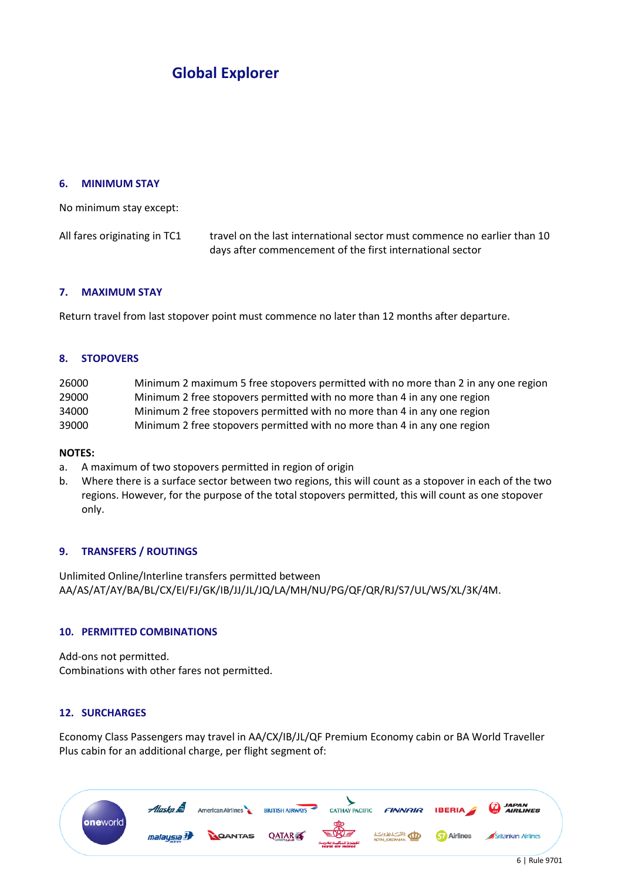#### **6. MINIMUM STAY**

No minimum stay except:

All fares originating in TC1 travel on the last international sector must commence no earlier than 10 days after commencement of the first international sector

### **7. MAXIMUM STAY**

Return travel from last stopover point must commence no later than 12 months after departure.

#### **8. STOPOVERS**

| 26000 | Minimum 2 maximum 5 free stopovers permitted with no more than 2 in any one region |
|-------|------------------------------------------------------------------------------------|
| 29000 | Minimum 2 free stopovers permitted with no more than 4 in any one region           |
| 34000 | Minimum 2 free stopovers permitted with no more than 4 in any one region           |
| 39000 | Minimum 2 free stopovers permitted with no more than 4 in any one region           |

#### **NOTES:**

- a. A maximum of two stopovers permitted in region of origin
- b. Where there is a surface sector between two regions, this will count as a stopover in each of the two regions. However, for the purpose of the total stopovers permitted, this will count as one stopover only.

### **9. TRANSFERS / ROUTINGS**

Unlimited Online/Interline transfers permitted between AA/AS/AT/AY/BA/BL/CX/EI/FJ/GK/IB/JJ/JL/JQ/LA/MH/NU/PG/QF/QR/RJ/S7/UL/WS/XL/3K/4M.

#### **10. PERMITTED COMBINATIONS**

Add-ons not permitted. Combinations with other fares not permitted.

### **12. SURCHARGES**

Economy Class Passengers may travel in AA/CX/IB/JL/QF Premium Economy cabin or BA World Traveller Plus cabin for an additional charge, per flight segment of:

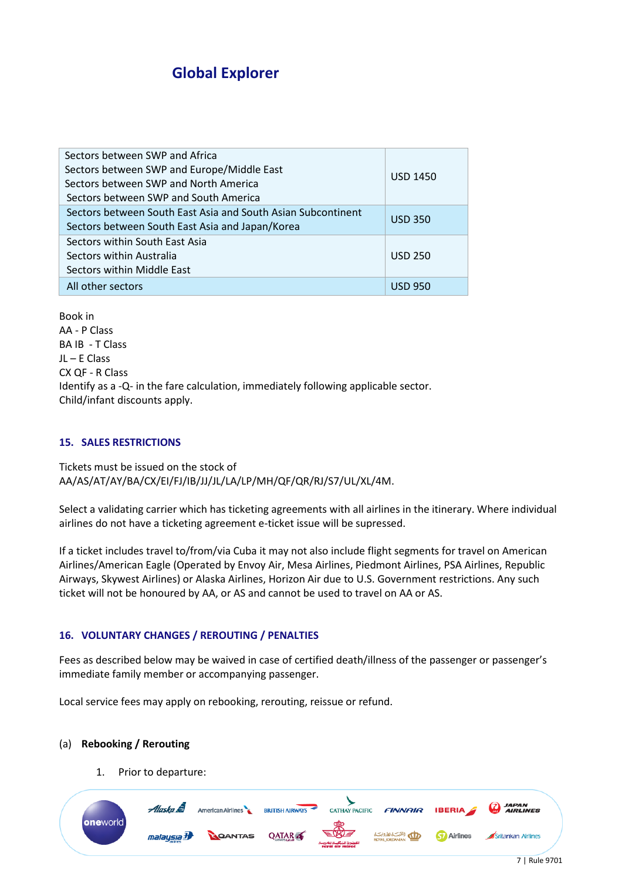| Sectors between SWP and Africa<br>Sectors between SWP and Europe/Middle East<br>Sectors between SWP and North America<br>Sectors between SWP and South America | <b>USD 1450</b> |
|----------------------------------------------------------------------------------------------------------------------------------------------------------------|-----------------|
| Sectors between South East Asia and South Asian Subcontinent<br>Sectors between South East Asia and Japan/Korea                                                | <b>USD 350</b>  |
| Sectors within South East Asia<br>Sectors within Australia<br>Sectors within Middle East                                                                       | <b>USD 250</b>  |
| All other sectors                                                                                                                                              | <b>USD 950</b>  |

Book in AA - P Class BA IB - T Class JL – E Class CX QF - R Class Identify as a -Q- in the fare calculation, immediately following applicable sector. Child/infant discounts apply.

## **15. SALES RESTRICTIONS**

Tickets must be issued on the stock of AA/AS/AT/AY/BA/CX/EI/FJ/IB/JJ/JL/LA/LP/MH/QF/QR/RJ/S7/UL/XL/4M.

Select a validating carrier which has ticketing agreements with all airlines in the itinerary. Where individual airlines do not have a ticketing agreement e-ticket issue will be supressed.

If a ticket includes travel to/from/via Cuba it may not also include flight segments for travel on American Airlines/American Eagle (Operated by Envoy Air, Mesa Airlines, Piedmont Airlines, PSA Airlines, Republic Airways, Skywest Airlines) or Alaska Airlines, Horizon Air due to U.S. Government restrictions. Any such ticket will not be honoured by AA, or AS and cannot be used to travel on AA or AS.

### **16. VOLUNTARY CHANGES / REROUTING / PENALTIES**

Fees as described below may be waived in case of certified death/illness of the passenger or passenger's immediate family member or accompanying passenger.

Local service fees may apply on rebooking, rerouting, reissue or refund.

### (a) **Rebooking / Rerouting**

1. Prior to departure: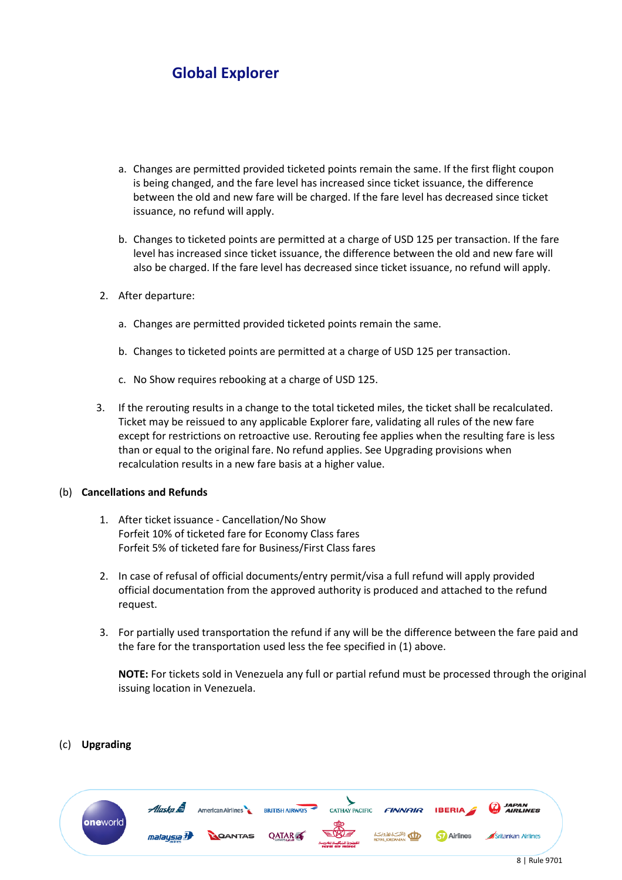- a. Changes are permitted provided ticketed points remain the same. If the first flight coupon is being changed, and the fare level has increased since ticket issuance, the difference between the old and new fare will be charged. If the fare level has decreased since ticket issuance, no refund will apply.
- b. Changes to ticketed points are permitted at a charge of USD 125 per transaction. If the fare level has increased since ticket issuance, the difference between the old and new fare will also be charged. If the fare level has decreased since ticket issuance, no refund will apply.
- 2. After departure:
	- a. Changes are permitted provided ticketed points remain the same.
	- b. Changes to ticketed points are permitted at a charge of USD 125 per transaction.
	- c. No Show requires rebooking at a charge of USD 125.
- 3. If the rerouting results in a change to the total ticketed miles, the ticket shall be recalculated. Ticket may be reissued to any applicable Explorer fare, validating all rules of the new fare except for restrictions on retroactive use. Rerouting fee applies when the resulting fare is less than or equal to the original fare. No refund applies. See Upgrading provisions when recalculation results in a new fare basis at a higher value.

### (b) **Cancellations and Refunds**

- 1. After ticket issuance Cancellation/No Show Forfeit 10% of ticketed fare for Economy Class fares Forfeit 5% of ticketed fare for Business/First Class fares
- 2. In case of refusal of official documents/entry permit/visa a full refund will apply provided official documentation from the approved authority is produced and attached to the refund request.
- 3. For partially used transportation the refund if any will be the difference between the fare paid and the fare for the transportation used less the fee specified in (1) above.

**NOTE:** For tickets sold in Venezuela any full or partial refund must be processed through the original issuing location in Venezuela.

### (c) **Upgrading**

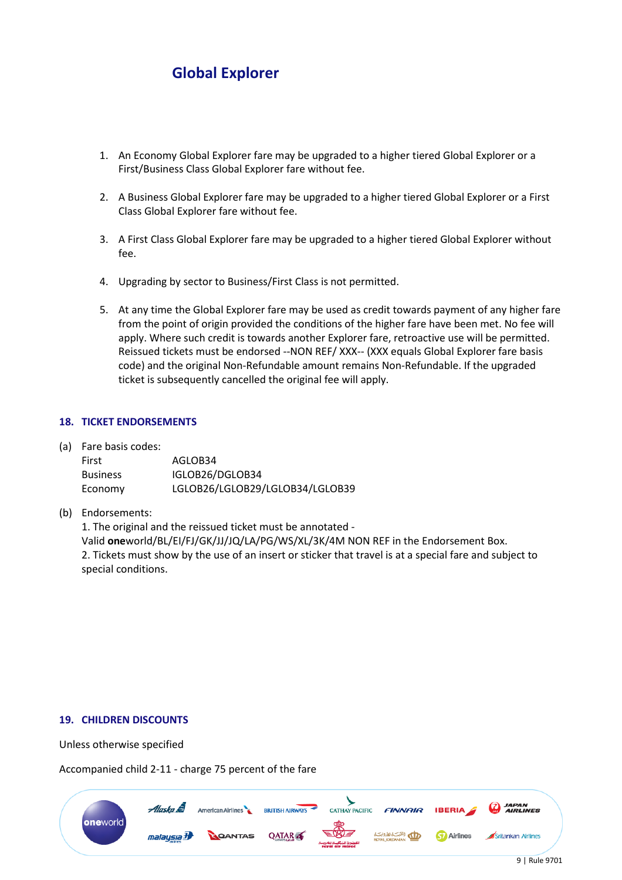- 1. An Economy Global Explorer fare may be upgraded to a higher tiered Global Explorer or a First/Business Class Global Explorer fare without fee.
- 2. A Business Global Explorer fare may be upgraded to a higher tiered Global Explorer or a First Class Global Explorer fare without fee.
- 3. A First Class Global Explorer fare may be upgraded to a higher tiered Global Explorer without fee.
- 4. Upgrading by sector to Business/First Class is not permitted.
- 5. At any time the Global Explorer fare may be used as credit towards payment of any higher fare from the point of origin provided the conditions of the higher fare have been met. No fee will apply. Where such credit is towards another Explorer fare, retroactive use will be permitted. Reissued tickets must be endorsed --NON REF/ XXX-- (XXX equals Global Explorer fare basis code) and the original Non-Refundable amount remains Non-Refundable. If the upgraded ticket is subsequently cancelled the original fee will apply.

#### **18. TICKET ENDORSEMENTS**

(a) Fare basis codes:

| First           | AGLOB34                         |
|-----------------|---------------------------------|
| <b>Business</b> | IGLOB26/DGLOB34                 |
| Economy         | LGLOB26/LGLOB29/LGLOB34/LGLOB39 |

(b) Endorsements:

1. The original and the reissued ticket must be annotated - Valid **one**world/BL/EI/FJ/GK/JJ/JQ/LA/PG/WS/XL/3K/4M NON REF in the Endorsement Box. 2. Tickets must show by the use of an insert or sticker that travel is at a special fare and subject to special conditions.

#### **19. CHILDREN DISCOUNTS**

Unless otherwise specified

Accompanied child 2-11 - charge 75 percent of the fare